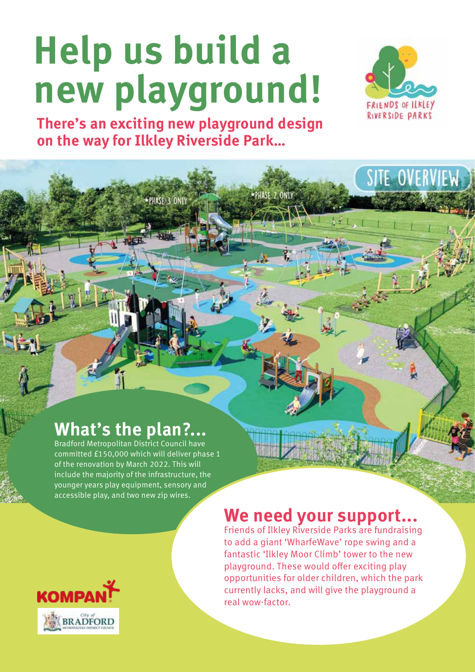# **Help us build a new playground!**



SITE OVERVIEW

**There's an exciting new playground design on the way for Ilkley Riverside Park…**

PHASE 3 ONLY

## **What's the plan?...**

Bradford Metropolitan District Council have committed £150,000 which will deliver phase 1 of the renovation by March 2022. This will include the majority of the infrastructure, the younger years play equipment, sensory and accessible play, and two new zip wires.

## **We need your support...**

Friends of Ilkley Riverside Parks are fundraising to add a giant 'WharfeWave' rope swing and a fantastic 'Ilkley Moor Climb' tower to the new playground. These would offer exciting play opportunities for older children, which the park currently lacks, and will give the playground a real wow-factor.